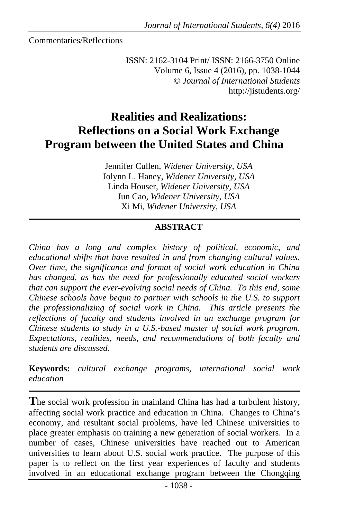Commentaries/Reflections

ISSN: 2162-3104 Print/ ISSN: 2166-3750 Online Volume 6, Issue 4 (2016), pp. 1038-1044 © *Journal of International Students* http://jistudents.org/

# **Realities and Realizations: Reflections on a Social Work Exchange Program between the United States and China**

Jennifer Cullen, *Widener University, USA* Jolynn L. Haney, *Widener University, USA* Linda Houser, *Widener University, USA* Jun Cao, *Widener University, USA* Xi Mi, *Widener University, USA*

### **ABSTRACT**

*China has a long and complex history of political, economic, and educational shifts that have resulted in and from changing cultural values. Over time, the significance and format of social work education in China has changed, as has the need for professionally educated social workers that can support the ever-evolving social needs of China. To this end, some Chinese schools have begun to partner with schools in the U.S. to support the professionalizing of social work in China. This article presents the reflections of faculty and students involved in an exchange program for Chinese students to study in a U.S.-based master of social work program. Expectations, realities, needs, and recommendations of both faculty and students are discussed.* 

**Keywords:** *cultural exchange programs, international social work education* 

**T**he social work profession in mainland China has had a turbulent history, affecting social work practice and education in China. Changes to China's economy, and resultant social problems, have led Chinese universities to place greater emphasis on training a new generation of social workers. In a number of cases, Chinese universities have reached out to American universities to learn about U.S. social work practice. The purpose of this paper is to reflect on the first year experiences of faculty and students involved in an educational exchange program between the Chongqing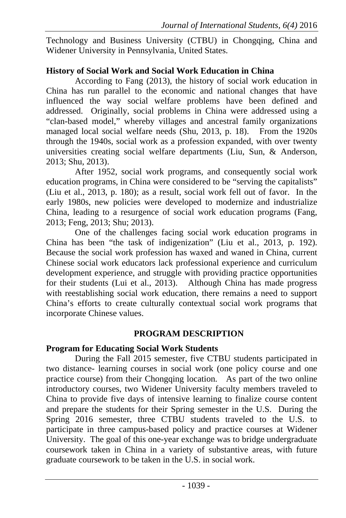Technology and Business University (CTBU) in Chongqing, China and Widener University in Pennsylvania, United States.

## **History of Social Work and Social Work Education in China**

According to Fang (2013), the history of social work education in China has run parallel to the economic and national changes that have influenced the way social welfare problems have been defined and addressed. Originally, social problems in China were addressed using a "clan-based model," whereby villages and ancestral family organizations managed local social welfare needs (Shu, 2013, p. 18). From the 1920s through the 1940s, social work as a profession expanded, with over twenty universities creating social welfare departments (Liu, Sun, & Anderson, 2013; Shu, 2013).

After 1952, social work programs, and consequently social work education programs, in China were considered to be "serving the capitalists" (Liu et al., 2013, p. 180); as a result, social work fell out of favor. In the early 1980s, new policies were developed to modernize and industrialize China, leading to a resurgence of social work education programs (Fang, 2013; Feng, 2013; Shu; 2013).

One of the challenges facing social work education programs in China has been "the task of indigenization" (Liu et al., 2013, p. 192). Because the social work profession has waxed and waned in China, current Chinese social work educators lack professional experience and curriculum development experience, and struggle with providing practice opportunities for their students (Lui et al., 2013). Although China has made progress with reestablishing social work education, there remains a need to support China's efforts to create culturally contextual social work programs that incorporate Chinese values.

## **PROGRAM DESCRIPTION**

## **Program for Educating Social Work Students**

During the Fall 2015 semester, five CTBU students participated in two distance- learning courses in social work (one policy course and one practice course) from their Chongqing location. As part of the two online introductory courses, two Widener University faculty members traveled to China to provide five days of intensive learning to finalize course content and prepare the students for their Spring semester in the U.S. During the Spring 2016 semester, three CTBU students traveled to the U.S. to participate in three campus-based policy and practice courses at Widener University. The goal of this one-year exchange was to bridge undergraduate coursework taken in China in a variety of substantive areas, with future graduate coursework to be taken in the U.S. in social work.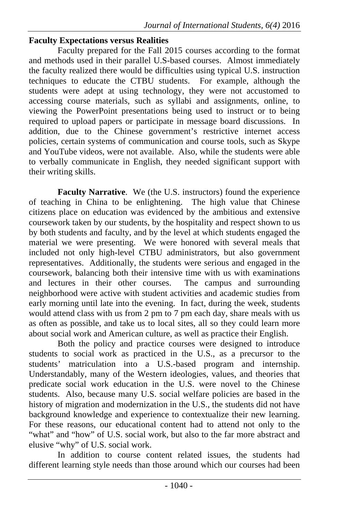#### **Faculty Expectations versus Realities**

Faculty prepared for the Fall 2015 courses according to the format and methods used in their parallel U.S-based courses. Almost immediately the faculty realized there would be difficulties using typical U.S. instruction techniques to educate the CTBU students. For example, although the students were adept at using technology, they were not accustomed to accessing course materials, such as syllabi and assignments, online, to viewing the PowerPoint presentations being used to instruct or to being required to upload papers or participate in message board discussions. In addition, due to the Chinese government's restrictive internet access policies, certain systems of communication and course tools, such as Skype and YouTube videos, were not available. Also, while the students were able to verbally communicate in English, they needed significant support with their writing skills.

**Faculty Narrative**. We (the U.S. instructors) found the experience of teaching in China to be enlightening. The high value that Chinese citizens place on education was evidenced by the ambitious and extensive coursework taken by our students, by the hospitality and respect shown to us by both students and faculty, and by the level at which students engaged the material we were presenting. We were honored with several meals that included not only high-level CTBU administrators, but also government representatives. Additionally, the students were serious and engaged in the coursework, balancing both their intensive time with us with examinations and lectures in their other courses. The campus and surrounding neighborhood were active with student activities and academic studies from early morning until late into the evening. In fact, during the week, students would attend class with us from 2 pm to 7 pm each day, share meals with us as often as possible, and take us to local sites, all so they could learn more about social work and American culture, as well as practice their English.

Both the policy and practice courses were designed to introduce students to social work as practiced in the U.S., as a precursor to the students' matriculation into a U.S.-based program and internship. Understandably, many of the Western ideologies, values, and theories that predicate social work education in the U.S. were novel to the Chinese students. Also, because many U.S. social welfare policies are based in the history of migration and modernization in the U.S., the students did not have background knowledge and experience to contextualize their new learning. For these reasons, our educational content had to attend not only to the "what" and "how" of U.S. social work, but also to the far more abstract and elusive "why" of U.S. social work.

In addition to course content related issues, the students had different learning style needs than those around which our courses had been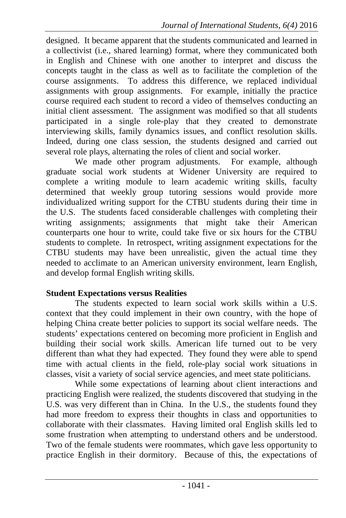designed. It became apparent that the students communicated and learned in a collectivist (i.e., shared learning) format, where they communicated both in English and Chinese with one another to interpret and discuss the concepts taught in the class as well as to facilitate the completion of the course assignments. To address this difference, we replaced individual assignments with group assignments. For example, initially the practice course required each student to record a video of themselves conducting an initial client assessment. The assignment was modified so that all students participated in a single role-play that they created to demonstrate interviewing skills, family dynamics issues, and conflict resolution skills. Indeed, during one class session, the students designed and carried out several role plays, alternating the roles of client and social worker.

We made other program adjustments. For example, although graduate social work students at Widener University are required to complete a writing module to learn academic writing skills, faculty determined that weekly group tutoring sessions would provide more individualized writing support for the CTBU students during their time in the U.S. The students faced considerable challenges with completing their writing assignments; assignments that might take their American counterparts one hour to write, could take five or six hours for the CTBU students to complete. In retrospect, writing assignment expectations for the CTBU students may have been unrealistic, given the actual time they needed to acclimate to an American university environment, learn English, and develop formal English writing skills.

#### **Student Expectations versus Realities**

The students expected to learn social work skills within a U.S. context that they could implement in their own country, with the hope of helping China create better policies to support its social welfare needs. The students' expectations centered on becoming more proficient in English and building their social work skills. American life turned out to be very different than what they had expected. They found they were able to spend time with actual clients in the field, role-play social work situations in classes, visit a variety of social service agencies, and meet state politicians.

While some expectations of learning about client interactions and practicing English were realized, the students discovered that studying in the U.S. was very different than in China. In the U.S., the students found they had more freedom to express their thoughts in class and opportunities to collaborate with their classmates. Having limited oral English skills led to some frustration when attempting to understand others and be understood. Two of the female students were roommates, which gave less opportunity to practice English in their dormitory. Because of this, the expectations of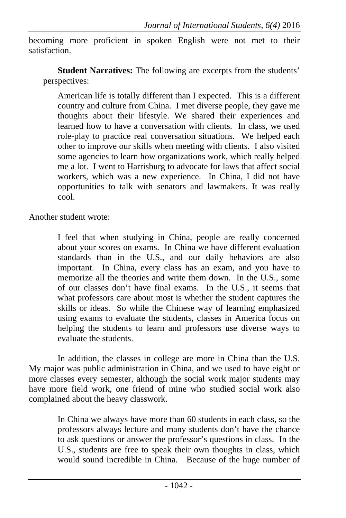becoming more proficient in spoken English were not met to their satisfaction.

**Student Narratives:** The following are excerpts from the students' perspectives:

American life is totally different than I expected. This is a different country and culture from China. I met diverse people, they gave me thoughts about their lifestyle. We shared their experiences and learned how to have a conversation with clients. In class, we used role-play to practice real conversation situations. We helped each other to improve our skills when meeting with clients. I also visited some agencies to learn how organizations work, which really helped me a lot. I went to Harrisburg to advocate for laws that affect social workers, which was a new experience. In China, I did not have opportunities to talk with senators and lawmakers. It was really cool.

Another student wrote:

I feel that when studying in China, people are really concerned about your scores on exams. In China we have different evaluation standards than in the U.S., and our daily behaviors are also important. In China, every class has an exam, and you have to memorize all the theories and write them down. In the U.S., some of our classes don't have final exams. In the U.S., it seems that what professors care about most is whether the student captures the skills or ideas. So while the Chinese way of learning emphasized using exams to evaluate the students, classes in America focus on helping the students to learn and professors use diverse ways to evaluate the students.

In addition, the classes in college are more in China than the U.S. My major was public administration in China, and we used to have eight or more classes every semester, although the social work major students may have more field work, one friend of mine who studied social work also complained about the heavy classwork.

> In China we always have more than 60 students in each class, so the professors always lecture and many students don't have the chance to ask questions or answer the professor's questions in class. In the U.S., students are free to speak their own thoughts in class, which would sound incredible in China. Because of the huge number of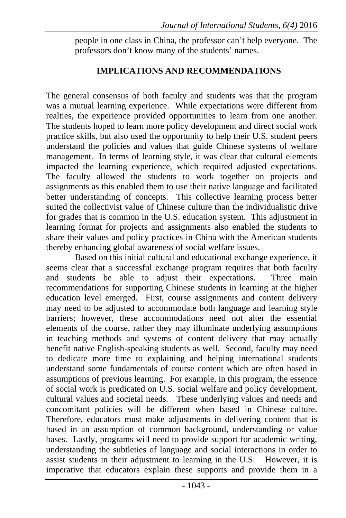people in one class in China, the professor can't help everyone. The professors don't know many of the students' names.

#### **IMPLICATIONS AND RECOMMENDATIONS**

The general consensus of both faculty and students was that the program was a mutual learning experience. While expectations were different from realties, the experience provided opportunities to learn from one another. The students hoped to learn more policy development and direct social work practice skills, but also used the opportunity to help their U.S. student peers understand the policies and values that guide Chinese systems of welfare management. In terms of learning style, it was clear that cultural elements impacted the learning experience, which required adjusted expectations. The faculty allowed the students to work together on projects and assignments as this enabled them to use their native language and facilitated better understanding of concepts. This collective learning process better suited the collectivist value of Chinese culture than the individualistic drive for grades that is common in the U.S. education system. This adjustment in learning format for projects and assignments also enabled the students to share their values and policy practices in China with the American students thereby enhancing global awareness of social welfare issues.

Based on this initial cultural and educational exchange experience, it seems clear that a successful exchange program requires that both faculty and students be able to adjust their expectations. Three main recommendations for supporting Chinese students in learning at the higher education level emerged. First, course assignments and content delivery may need to be adjusted to accommodate both language and learning style barriers; however, these accommodations need not alter the essential elements of the course, rather they may illuminate underlying assumptions in teaching methods and systems of content delivery that may actually benefit native English-speaking students as well. Second, faculty may need to dedicate more time to explaining and helping international students understand some fundamentals of course content which are often based in assumptions of previous learning. For example, in this program, the essence of social work is predicated on U.S. social welfare and policy development, cultural values and societal needs. These underlying values and needs and concomitant policies will be different when based in Chinese culture. Therefore, educators must make adjustments in delivering content that is based in an assumption of common background, understanding or value bases. Lastly, programs will need to provide support for academic writing, understanding the subtleties of language and social interactions in order to assist students in their adjustment to learning in the U.S. However, it is imperative that educators explain these supports and provide them in a